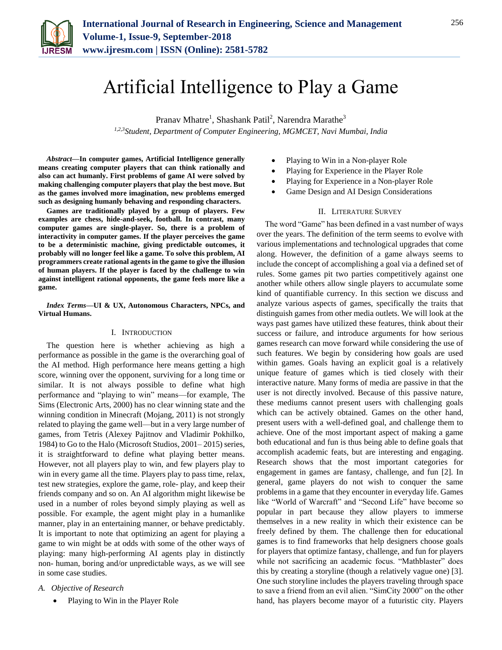

# Artificial Intelligence to Play a Game

Pranav Mhatre<sup>1</sup>, Shashank Patil<sup>2</sup>, Narendra Marathe<sup>3</sup> *1,2,3Student, Department of Computer Engineering, MGMCET, Navi Mumbai, India*

*Abstract***—In computer games, Artificial Intelligence generally means creating computer players that can think rationally and also can act humanly. First problems of game AI were solved by making challenging computer players that play the best move. But as the games involved more imagination, new problems emerged such as designing humanly behaving and responding characters.**

**Games are traditionally played by a group of players. Few examples are chess, hide-and-seek, football. In contrast, many computer games are single-player. So, there is a problem of interactivity in computer games. If the player perceives the game to be a deterministic machine, giving predictable outcomes, it probably will no longer feel like a game. To solve this problem, AI programmers create rational agents in the game to give the illusion of human players. If the player is faced by the challenge to win against intelligent rational opponents, the game feels more like a game.**

# *Index Terms***—UI & UX, Autonomous Characters, NPCs, and Virtual Humans.**

# I. INTRODUCTION

The question here is whether achieving as high a performance as possible in the game is the overarching goal of the AI method. High performance here means getting a high score, winning over the opponent, surviving for a long time or similar. It is not always possible to define what high performance and "playing to win" means—for example, The Sims (Electronic Arts, 2000) has no clear winning state and the winning condition in Minecraft (Mojang, 2011) is not strongly related to playing the game well—but in a very large number of games, from Tetris (Alexey Pajitnov and Vladimir Pokhilko, 1984) to Go to the Halo (Microsoft Studios, 2001– 2015) series, it is straightforward to define what playing better means. However, not all players play to win, and few players play to win in every game all the time. Players play to pass time, relax, test new strategies, explore the game, role- play, and keep their friends company and so on. An AI algorithm might likewise be used in a number of roles beyond simply playing as well as possible. For example, the agent might play in a humanlike manner, play in an entertaining manner, or behave predictably. It is important to note that optimizing an agent for playing a game to win might be at odds with some of the other ways of playing: many high-performing AI agents play in distinctly non- human, boring and/or unpredictable ways, as we will see in some case studies.

# *A. Objective of Research*

• Playing to Win in the Player Role

- Playing to Win in a Non-player Role
- Playing for Experience in the Player Role
- Playing for Experience in a Non-player Role
- Game Design and AI Design Considerations

## II. LITERATURE SURVEY

The word "Game" has been defined in a vast number of ways over the years. The definition of the term seems to evolve with various implementations and technological upgrades that come along. However, the definition of a game always seems to include the concept of accomplishing a goal via a defined set of rules. Some games pit two parties competitively against one another while others allow single players to accumulate some kind of quantifiable currency. In this section we discuss and analyze various aspects of games, specifically the traits that distinguish games from other media outlets. We will look at the ways past games have utilized these features, think about their success or failure, and introduce arguments for how serious games research can move forward while considering the use of such features. We begin by considering how goals are used within games. Goals having an explicit goal is a relatively unique feature of games which is tied closely with their interactive nature. Many forms of media are passive in that the user is not directly involved. Because of this passive nature, these mediums cannot present users with challenging goals which can be actively obtained. Games on the other hand, present users with a well-defined goal, and challenge them to achieve. One of the most important aspect of making a game both educational and fun is thus being able to define goals that accomplish academic feats, but are interesting and engaging. Research shows that the most important categories for engagement in games are fantasy, challenge, and fun [2]. In general, game players do not wish to conquer the same problems in a game that they encounter in everyday life. Games like "World of Warcraft" and "Second Life" have become so popular in part because they allow players to immerse themselves in a new reality in which their existence can be freely defined by them. The challenge then for educational games is to find frameworks that help designers choose goals for players that optimize fantasy, challenge, and fun for players while not sacrificing an academic focus. "Mathblaster" does this by creating a storyline (though a relatively vague one) [3]. One such storyline includes the players traveling through space to save a friend from an evil alien. "SimCity 2000" on the other hand, has players become mayor of a futuristic city. Players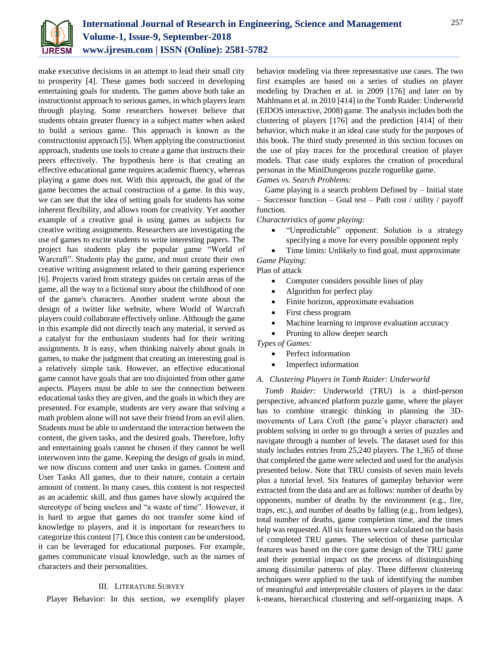

make executive decisions in an attempt to lead their small city to prosperity [4]. These games both succeed in developing entertaining goals for students. The games above both take an instructionist approach to serious games, in which players learn through playing. Some researchers however believe that students obtain greater fluency in a subject matter when asked to build a serious game. This approach is known as the constructionist approach [5]. When applying the constructionist approach, students use tools to create a game that instructs their peers effectively. The hypothesis here is that creating an effective educational game requires academic fluency, whereas playing a game does not. With this approach, the goal of the game becomes the actual construction of a game. In this way, we can see that the idea of setting goals for students has some inherent flexibility, and allows room for creativity. Yet another example of a creative goal is using games as subjects for creative writing assignments. Researchers are investigating the use of games to excite students to write interesting papers. The project has students play the popular game "World of Warcraft". Students play the game, and must create their own creative writing assignment related to their gaming experience [6]. Projects varied from strategy guides on certain areas of the game, all the way to a fictional story about the childhood of one of the game's characters. Another student wrote about the design of a twitter like website, where World of Warcraft players could collaborate effectively online. Although the game in this example did not directly teach any material, it served as a catalyst for the enthusiasm students had for their writing assignments. It is easy, when thinking naively about goals in games, to make the judgment that creating an interesting goal is a relatively simple task. However, an effective educational game cannot have goals that are too disjointed from other game aspects. Players must be able to see the connection between educational tasks they are given, and the goals in which they are presented. For example, students are very aware that solving a math problem alone will not save their friend from an evil alien. Students must be able to understand the interaction between the content, the given tasks, and the desired goals. Therefore, lofty and entertaining goals cannot be chosen if they cannot be well interwoven into the game. Keeping the design of goals in mind, we now discuss content and user tasks in games. Content and User Tasks All games, due to their nature, contain a certain amount of content. In many cases, this content is not respected as an academic skill, and thus games have slowly acquired the stereotype of being useless and "a waste of time". However, it is hard to argue that games do not transfer some kind of knowledge to players, and it is important for researchers to categorize this content [7]. Once this content can be understood, it can be leveraged for educational purposes. For example, games communicate visual knowledge, such as the names of characters and their personalities.

# III. LITERATURE SURVEY

Player Behavior: In this section, we exemplify player

behavior modeling via three representative use cases. The two first examples are based on a series of studies on player modeling by Drachen et al. in 2009 [176] and later on by Mahlmann et al. in 2010 [414] in the Tomb Raider: Underworld (EIDOS interactive, 2008) game. The analysis includes both the clustering of players [176] and the prediction [414] of their behavior, which make it an ideal case study for the purposes of this book. The third study presented in this section focuses on the use of play traces for the procedural creation of player models. That case study explores the creation of procedural personas in the MiniDungeons puzzle roguelike game. *Games vs. Search Problems:*

Game playing is a search problem Defined by – Initial state – Successor function – Goal test – Path cost / utility / payoff function.

*Characteristics of game playing:*

 "Unpredictable" opponent: Solution is a strategy specifying a move for every possible opponent reply

 Time limits: Unlikely to find goal, must approximate *Game Playing:*

Plan of attack

- Computer considers possible lines of play
- Algorithm for perfect play
- Finite horizon, approximate evaluation
- First chess program
- Machine learning to improve evaluation accuracy
- Pruning to allow deeper search

*Types of Games:*

- Perfect information
- Imperfect information

# *A. Clustering Players in Tomb Raider: Underworld*

*Tomb Raider:* Underworld (TRU) is a third-person perspective, advanced platform puzzle game, where the player has to combine strategic thinking in planning the 3Dmovements of Lara Croft (the game's player character) and problem solving in order to go through a series of puzzles and navigate through a number of levels. The dataset used for this study includes entries from 25,240 players. The 1,365 of those that completed the game were selected and used for the analysis presented below. Note that TRU consists of seven main levels plus a tutorial level. Six features of gameplay behavior were extracted from the data and are as follows: number of deaths by opponents, number of deaths by the environment (e.g., fire, traps, etc.), and number of deaths by falling (e.g., from ledges), total number of deaths, game completion time, and the times help was requested. All six features were calculated on the basis of completed TRU games. The selection of these particular features was based on the core game design of the TRU game and their potential impact on the process of distinguishing among dissimilar patterns of play. Three different clustering techniques were applied to the task of identifying the number of meaningful and interpretable clusters of players in the data: k-means, hierarchical clustering and self-organizing maps. A